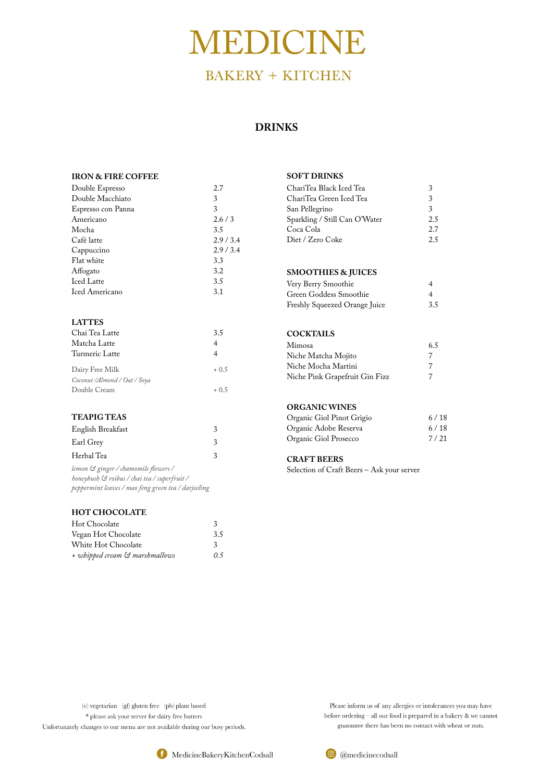# MEDICINE

# **BAKERY + KITCHEN**

#### **IRON & FIRE COFFEE**

| Double Espresso       | 2.7     |
|-----------------------|---------|
| Double Macchiato      | 3       |
| Espresso con Panna    | 3       |
| Americano             | 2.6/3   |
| Mocha                 | 3.5     |
| Café latte            | 2.9/3.4 |
| Cappuccino            | 2.9/3.4 |
| Flat white            | 3.3     |
| Affogato              | 3.2     |
| <b>Iced Latte</b>     | 3.5     |
| <b>Iced Americano</b> | 3.1     |

#### **LATTES**

| Chai Tea Latte                | 3.5     |
|-------------------------------|---------|
| Matcha Latte                  | 4       |
| Turmeric Latte                | 4       |
| Dairy Free Milk               | $+0.5$  |
| Coconut / Almond / Oat / Soya |         |
| Double Cream                  | $+$ 0.5 |

| ChariTea Black Iced Tea       | 3   |
|-------------------------------|-----|
| ChariTea Green Iced Tea       | 3   |
| San Pellegrino                | 3   |
| Sparkling / Still Can O'Water | 2.5 |
| Coca Cola                     | 2.7 |
| Diet / Zero Coke              | 25  |

#### **TEAPIG TEAS**

| English Breakfast |  |
|-------------------|--|
| Earl Grey         |  |
| Herbal Tea        |  |

*lemon & ginger / chamomile fowers / honeybush & roibus / chai tea / superfruit / peppermint leaves / mao feng green tea / darjeeling* 

#### **HOT CHOCOLATE**

| Hot Chocolate                  |     |
|--------------------------------|-----|
| Vegan Hot Chocolate            | 3.5 |
| White Hot Chocolate            | 3   |
| + whipped cream & marshmallows | 0.5 |

#### **SOFT DRINKS**

#### **SMOOTHIES & JUICES**

| Very Berry Smoothie           |                |
|-------------------------------|----------------|
| Green Goddess Smoothie        | $\overline{A}$ |
| Freshly Squeezed Orange Juice | 3.5            |

#### **COCKTAILS**

| Mimosa                         | 6.5 |
|--------------------------------|-----|
| Niche Matcha Mojito            |     |
| Niche Mocha Martini            |     |
| Niche Pink Grapefruit Gin Fizz |     |

#### **ORGANIC WINES**

| Organic Giol Pinot Grigio | 6/18 |
|---------------------------|------|
| Organic Adobe Reserva     | 6/18 |
| Organic Giol Prosecco     | 7/21 |

#### **CRAFT BEERS**

Selection of Craft Beers – Ask your server

(v) vegetarian (gf) gluten free (pb) plant based \* please ask your server for dairy free butters Unfortunately changes to our menu are not available during our busy periods.

> MedicineBakeryKitchenCodsall O

Please inform us of any allergies or intolerances you may have before ordering  $-$  all our food is prepared in a bakery  $\&$  we cannot guarantee there has been no contact with wheat or nuts.



## **DRINKS**